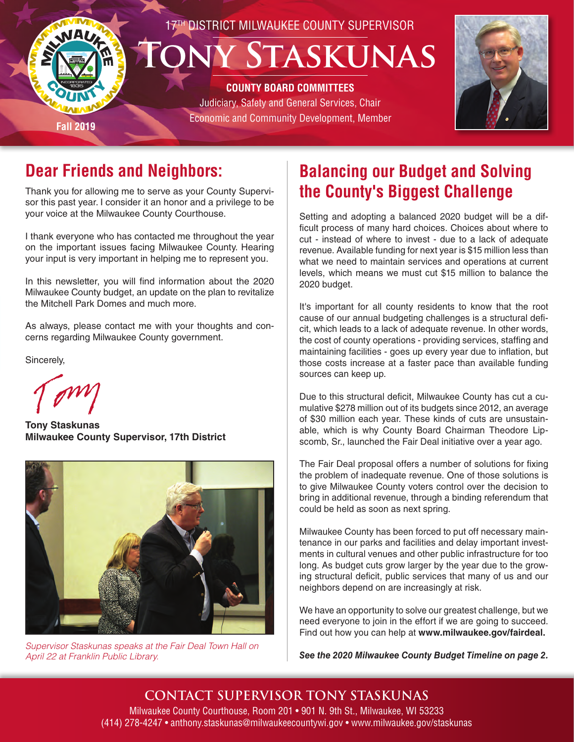



### **Dear Friends and Neighbors:**

Thank you for allowing me to serve as your County Supervisor this past year. I consider it an honor and a privilege to be your voice at the Milwaukee County Courthouse.

I thank everyone who has contacted me throughout the year on the important issues facing Milwaukee County. Hearing your input is very important in helping me to represent you.

In this newsletter, you will find information about the 2020 Milwaukee County budget, an update on the plan to revitalize the Mitchell Park Domes and much more.

As always, please contact me with your thoughts and concerns regarding Milwaukee County government.

Sincerely,

**Tony Staskunas Milwaukee County Supervisor, 17th District**



*Supervisor Staskunas speaks at the Fair Deal Town Hall on April 22 at Franklin Public Library.*

## **Balancing our Budget and Solving the County's Biggest Challenge**

Setting and adopting a balanced 2020 budget will be a difficult process of many hard choices. Choices about where to cut - instead of where to invest - due to a lack of adequate revenue. Available funding for next year is \$15 million less than what we need to maintain services and operations at current levels, which means we must cut \$15 million to balance the 2020 budget.

It's important for all county residents to know that the root cause of our annual budgeting challenges is a structural deficit, which leads to a lack of adequate revenue. In other words, the cost of county operations - providing services, staffing and maintaining facilities - goes up every year due to inflation, but those costs increase at a faster pace than available funding sources can keep up.

Due to this structural deficit, Milwaukee County has cut a cumulative \$278 million out of its budgets since 2012, an average of \$30 million each year. These kinds of cuts are unsustainable, which is why County Board Chairman Theodore Lipscomb, Sr., launched the Fair Deal initiative over a year ago.

The Fair Deal proposal offers a number of solutions for fixing the problem of inadequate revenue. One of those solutions is to give Milwaukee County voters control over the decision to bring in additional revenue, through a binding referendum that could be held as soon as next spring.

Milwaukee County has been forced to put off necessary maintenance in our parks and facilities and delay important investments in cultural venues and other public infrastructure for too long. As budget cuts grow larger by the year due to the growing structural deficit, public services that many of us and our neighbors depend on are increasingly at risk.

We have an opportunity to solve our greatest challenge, but we need everyone to join in the effort if we are going to succeed. Find out how you can help at **www.milwaukee.gov/fairdeal.**

*See the 2020 Milwaukee County Budget Timeline on page 2.*

**CONTACT SUPERVISOR TONY STASKUNAS** Milwaukee County Courthouse, Room 201 • 901 N. 9th St., Milwaukee, WI 53233 (414) 278-4247 • anthony.staskunas@milwaukeecountywi.gov • www.milwaukee.gov/staskunas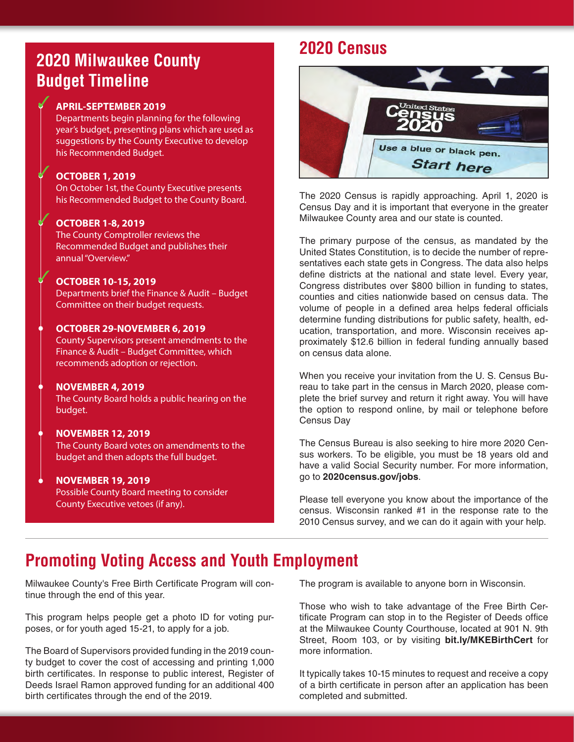### **2020 Milwaukee County Budget Timeline**

#### **APRIL-SEPTEMBER 2019**

✓

✓

✓

✓

Departments begin planning for the following year's budget, presenting plans which are used as suggestions by the County Executive to develop his Recommended Budget.

#### **OCTOBER 1, 2019**

On October 1st, the County Executive presents his Recommended Budget to the County Board.

#### **OCTOBER 1-8, 2019**

The County Comptroller reviews the Recommended Budget and publishes their annual "Overview."

#### **OCTOBER 10-15, 2019**

Departments brief the Finance & Audit – Budget Committee on their budget requests.

#### **OCTOBER 29-NOVEMBER 6, 2019**

County Supervisors present amendments to the Finance & Audit – Budget Committee, which recommends adoption or rejection.

#### **NOVEMBER 4, 2019**

The County Board holds a public hearing on the budget.

#### **NOVEMBER 12, 2019**

The County Board votes on amendments to the budget and then adopts the full budget.

#### **NOVEMBER 19, 2019**

Possible County Board meeting to consider County Executive vetoes (if any).

### **2020 Census**



The 2020 Census is rapidly approaching. April 1, 2020 is Census Day and it is important that everyone in the greater Milwaukee County area and our state is counted.

The primary purpose of the census, as mandated by the United States Constitution, is to decide the number of representatives each state gets in Congress. The data also helps define districts at the national and state level. Every year, Congress distributes over \$800 billion in funding to states, counties and cities nationwide based on census data. The volume of people in a defined area helps federal officials determine funding distributions for public safety, health, education, transportation, and more. Wisconsin receives approximately \$12.6 billion in federal funding annually based on census data alone.

When you receive your invitation from the U. S. Census Bureau to take part in the census in March 2020, please complete the brief survey and return it right away. You will have the option to respond online, by mail or telephone before Census Day

The Census Bureau is also seeking to hire more 2020 Census workers. To be eligible, you must be 18 years old and have a valid Social Security number. For more information, go to **2020census.gov/jobs**.

Please tell everyone you know about the importance of the census. Wisconsin ranked #1 in the response rate to the 2010 Census survey, and we can do it again with your help.

### **Promoting Voting Access and Youth Employment**

Milwaukee County's Free Birth Certificate Program will continue through the end of this year.

This program helps people get a photo ID for voting purposes, or for youth aged 15-21, to apply for a job.

The Board of Supervisors provided funding in the 2019 county budget to cover the cost of accessing and printing 1,000 birth certificates. In response to public interest, Register of Deeds Israel Ramon approved funding for an additional 400 birth certificates through the end of the 2019.

The program is available to anyone born in Wisconsin.

Those who wish to take advantage of the Free Birth Certificate Program can stop in to the Register of Deeds office at the Milwaukee County Courthouse, located at 901 N. 9th Street, Room 103, or by visiting **bit.ly/MKEBirthCert** for more information.

It typically takes 10-15 minutes to request and receive a copy of a birth certificate in person after an application has been completed and submitted.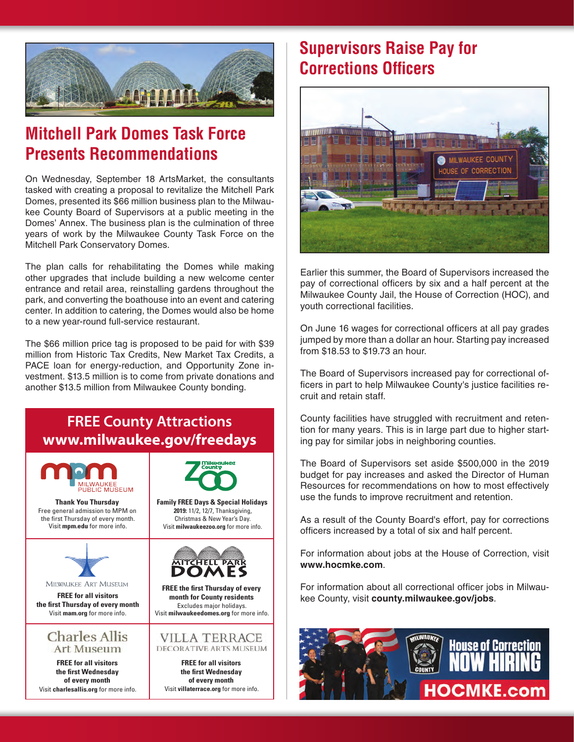

### **Mitchell Park Domes Task Force Presents Recommendations**

On Wednesday, September 18 ArtsMarket, the consultants tasked with creating a proposal to revitalize the Mitchell Park Domes, presented its \$66 million business plan to the Milwaukee County Board of Supervisors at a public meeting in the Domes' Annex. The business plan is the culmination of three years of work by the Milwaukee County Task Force on the Mitchell Park Conservatory Domes.

The plan calls for rehabilitating the Domes while making other upgrades that include building a new welcome center entrance and retail area, reinstalling gardens throughout the park, and converting the boathouse into an event and catering center. In addition to catering, the Domes would also be home to a new year-round full-service restaurant.

The \$66 million price tag is proposed to be paid for with \$39 million from Historic Tax Credits, New Market Tax Credits, a PACE loan for energy-reduction, and Opportunity Zone investment. \$13.5 million is to come from private donations and another \$13.5 million from Milwaukee County bonding.

#### **FREE County Attractions www.milwaukee.gov/freedays** ALISELIM **Thank You Thursday Family FREE Days & Special Holidays** Free general admission to MPM on **2019:** 11/2, 12/7, Thanksgiving, the first Thursday of every month. Christmas & New Year's Day. Visit **mpm.edu** for more info. Visit **milwaukeezoo.org** for more info. **AITCHELL PART** MILWAUKEE ART MUSEUM **FREE the first Thursday of every FREE for all visitors month for County residents the first Thursday of every month** Excludes major holidays. Visit **mam.org** for more info. Visit **milwaukeedomes.org** for more info. **Charles Allis** VILLA TERRACE **Art Museum** DECORATIVE ARTS MUSEUM **FREE for all visitors FREE for all visitors the first Wednesday the first Wednesday of every month of every month** Visit **charlesallis.org** for more info. Visit **villaterrace.org** for more info.

### **Supervisors Raise Pay for Corrections Officers**



Earlier this summer, the Board of Supervisors increased the pay of correctional officers by six and a half percent at the Milwaukee County Jail, the House of Correction (HOC), and youth correctional facilities.

On June 16 wages for correctional officers at all pay grades jumped by more than a dollar an hour. Starting pay increased from \$18.53 to \$19.73 an hour.

The Board of Supervisors increased pay for correctional officers in part to help Milwaukee County's justice facilities recruit and retain staff.

County facilities have struggled with recruitment and retention for many years. This is in large part due to higher starting pay for similar jobs in neighboring counties.

The Board of Supervisors set aside \$500,000 in the 2019 budget for pay increases and asked the Director of Human Resources for recommendations on how to most effectively use the funds to improve recruitment and retention.

As a result of the County Board's effort, pay for corrections officers increased by a total of six and half percent.

For information about jobs at the House of Correction, visit **www.hocmke.com**.

For information about all correctional officer jobs in Milwaukee County, visit **county.milwaukee.gov/jobs**.